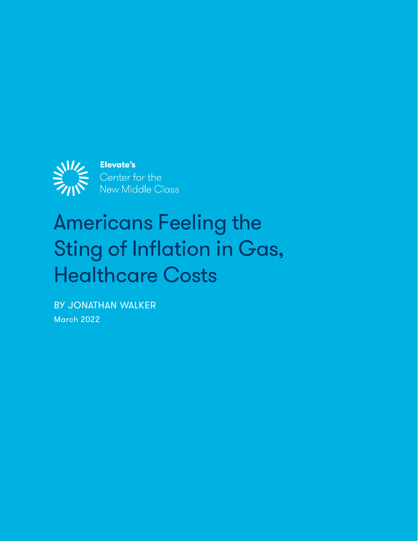

# Americans Feeling the Sting of Inflation in Gas, Healthcare Costs

BY JONATHAN WALKER March 2022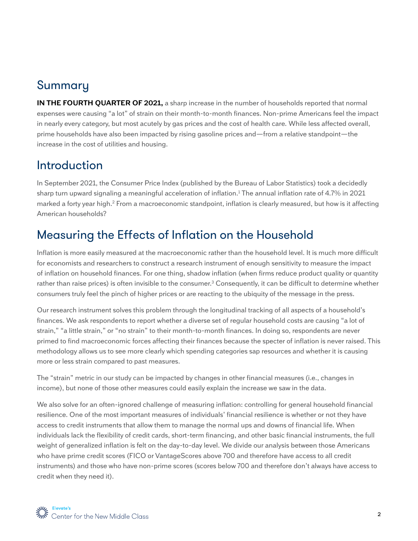## Summary

**IN THE FOURTH QUARTER OF 2021,** a sharp increase in the number of households reported that normal expenses were causing "a lot" of strain on their month-to-month finances. Non-prime Americans feel the impact in nearly every category, but most acutely by gas prices and the cost of health care. While less affected overall, prime households have also been impacted by rising gasoline prices and—from a relative standpoint—the increase in the cost of utilities and housing.

#### Introduction

In September 2021, the Consumer Price Index (published by the Bureau of Labor Statistics) took a decidedly sharp turn upward signaling a meaningful acceleration of inflation.1 The annual inflation rate of 4.7% in 2021 marked a forty year high.<sup>2</sup> From a macroeconomic standpoint, inflation is clearly measured, but how is it affecting American households?

## Measuring the Effects of Inflation on the Household

Inflation is more easily measured at the macroeconomic rather than the household level. It is much more difficult for economists and researchers to construct a research instrument of enough sensitivity to measure the impact of inflation on household finances. For one thing, shadow inflation (when firms reduce product quality or quantity rather than raise prices) is often invisible to the consumer.<sup>3</sup> Consequently, it can be difficult to determine whether consumers truly feel the pinch of higher prices or are reacting to the ubiquity of the message in the press.

Our research instrument solves this problem through the longitudinal tracking of all aspects of a household's finances. We ask respondents to report whether a diverse set of regular household costs are causing "a lot of strain," "a little strain," or "no strain" to their month-to-month finances. In doing so, respondents are never primed to find macroeconomic forces affecting their finances because the specter of inflation is never raised. This methodology allows us to see more clearly which spending categories sap resources and whether it is causing more or less strain compared to past measures.

The "strain" metric in our study can be impacted by changes in other financial measures (i.e., changes in income), but none of those other measures could easily explain the increase we saw in the data.

We also solve for an often-ignored challenge of measuring inflation: controlling for general household financial resilience. One of the most important measures of individuals' financial resilience is whether or not they have access to credit instruments that allow them to manage the normal ups and downs of financial life. When individuals lack the flexibility of credit cards, short-term financing, and other basic financial instruments, the full weight of generalized inflation is felt on the day-to-day level. We divide our analysis between those Americans who have prime credit scores (FICO or VantageScores above 700 and therefore have access to all credit instruments) and those who have non-prime scores (scores below 700 and therefore don't always have access to credit when they need it).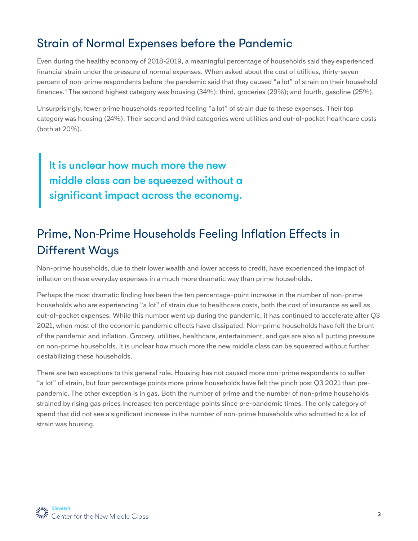## Strain of Normal Expenses before the Pandemic

Even during the healthy economy of 2018-2019, a meaningful percentage of households said they experienced financial strain under the pressure of normal expenses. When asked about the cost of utilities, thirty-seven percent of non-prime respondents before the pandemic said that they caused "a lot" of strain on their household finances.4 The second highest category was housing (34%); third, groceries (29%); and fourth, gasoline (25%).

Unsurprisingly, fewer prime households reported feeling "a lot" of strain due to these expenses. Their top category was housing (24%). Their second and third categories were utilities and out-of-pocket healthcare costs (both at 20%).

It is unclear how much more the new middle class can be squeezed without a significant impact across the economy.

# Prime, Non-Prime Households Feeling Inflation Effects in Different Ways

Non-prime households, due to their lower wealth and lower access to credit, have experienced the impact of inflation on these everyday expenses in a much more dramatic way than prime households.

Perhaps the most dramatic finding has been the ten percentage-point increase in the number of non-prime households who are experiencing "a lot" of strain due to healthcare costs, both the cost of insurance as well as out-of-pocket expenses. While this number went up during the pandemic, it has continued to accelerate after Q3 2021, when most of the economic pandemic effects have dissipated. Non-prime households have felt the brunt of the pandemic and inflation. Grocery, utilities, healthcare, entertainment, and gas are also all putting pressure on non-prime households. It is unclear how much more the new middle class can be squeezed without further destabilizing these households.

There are two exceptions to this general rule. Housing has not caused more non-prime respondents to suffer "a lot" of strain, but four percentage points more prime households have felt the pinch post Q3 2021 than prepandemic. The other exception is in gas. Both the number of prime and the number of non-prime households strained by rising gas prices increased ten percentage points since pre-pandemic times. The only category of spend that did not see a significant increase in the number of non-prime households who admitted to a lot of strain was housing.